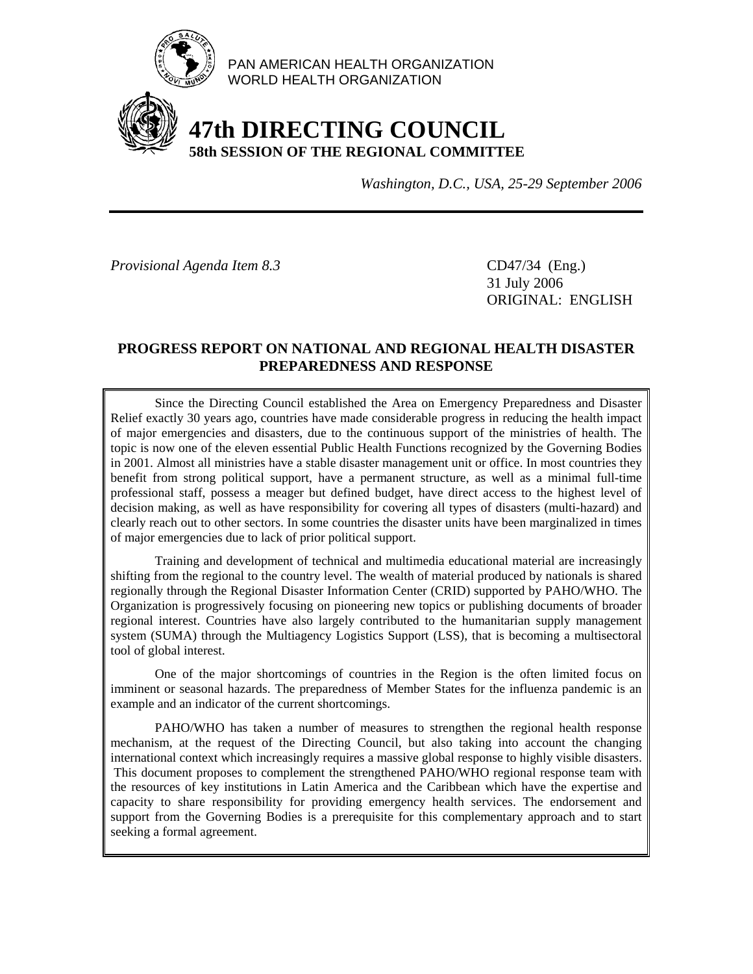

PAN AMERICAN HEALTH ORGANIZATION WORLD HEALTH ORGANIZATION

# **47th DIRECTING COUNCIL 58th SESSION OF THE REGIONAL COMMITTEE**

*Washington, D.C., USA, 25-29 September 2006*

*Provisional Agenda Item 8.3* CD47/34 (Eng.)

 31 July 2006 ORIGINAL: ENGLISH

#### **PROGRESS REPORT ON NATIONAL AND REGIONAL HEALTH DISASTER PREPAREDNESS AND RESPONSE**

 Since the Directing Council established the Area on Emergency Preparedness and Disaster Relief exactly 30 years ago, countries have made considerable progress in reducing the health impact of major emergencies and disasters, due to the continuous support of the ministries of health. The topic is now one of the eleven essential Public Health Functions recognized by the Governing Bodies in 2001. Almost all ministries have a stable disaster management unit or office. In most countries they benefit from strong political support, have a permanent structure, as well as a minimal full-time professional staff, possess a meager but defined budget, have direct access to the highest level of decision making, as well as have responsibility for covering all types of disasters (multi-hazard) and clearly reach out to other sectors. In some countries the disaster units have been marginalized in times of major emergencies due to lack of prior political support.

 Training and development of technical and multimedia educational material are increasingly shifting from the regional to the country level. The wealth of material produced by nationals is shared regionally through the Regional Disaster Information Center (CRID) supported by PAHO/WHO. The Organization is progressively focusing on pioneering new topics or publishing documents of broader regional interest. Countries have also largely contributed to the humanitarian supply management system (SUMA) through the Multiagency Logistics Support (LSS), that is becoming a multisectoral tool of global interest.

 One of the major shortcomings of countries in the Region is the often limited focus on imminent or seasonal hazards. The preparedness of Member States for the influenza pandemic is an example and an indicator of the current shortcomings.

 PAHO/WHO has taken a number of measures to strengthen the regional health response mechanism, at the request of the Directing Council, but also taking into account the changing international context which increasingly requires a massive global response to highly visible disasters. This document proposes to complement the strengthened PAHO/WHO regional response team with the resources of key institutions in Latin America and the Caribbean which have the expertise and capacity to share responsibility for providing emergency health services. The endorsement and support from the Governing Bodies is a prerequisite for this complementary approach and to start seeking a formal agreement.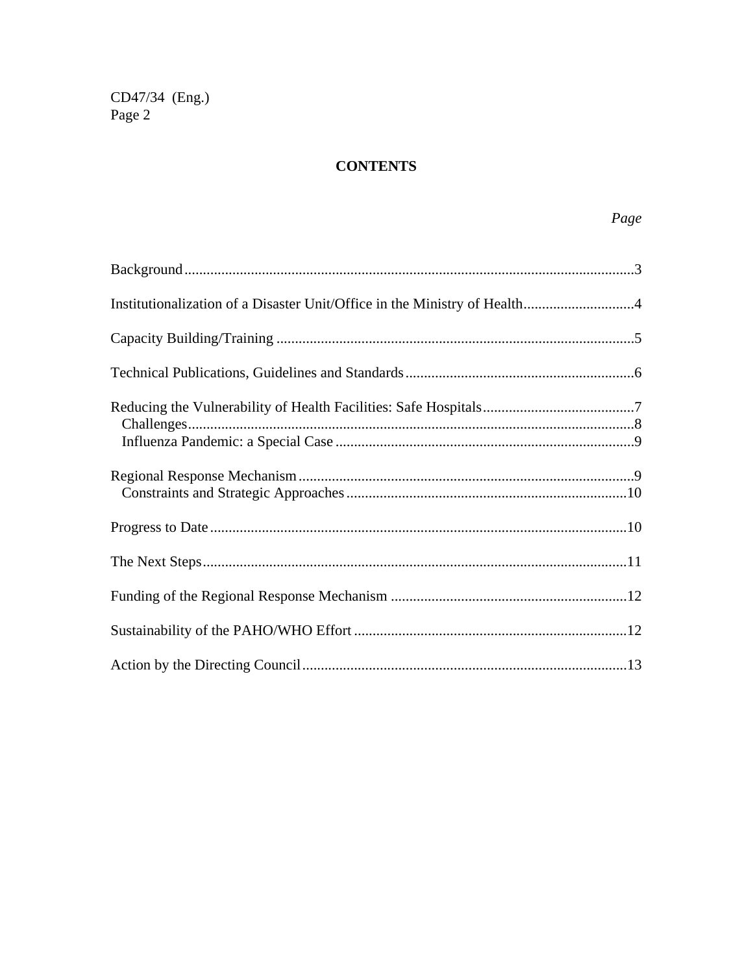CD47/34 (Eng.)<br>Page 2

## **CONTENTS**

## Page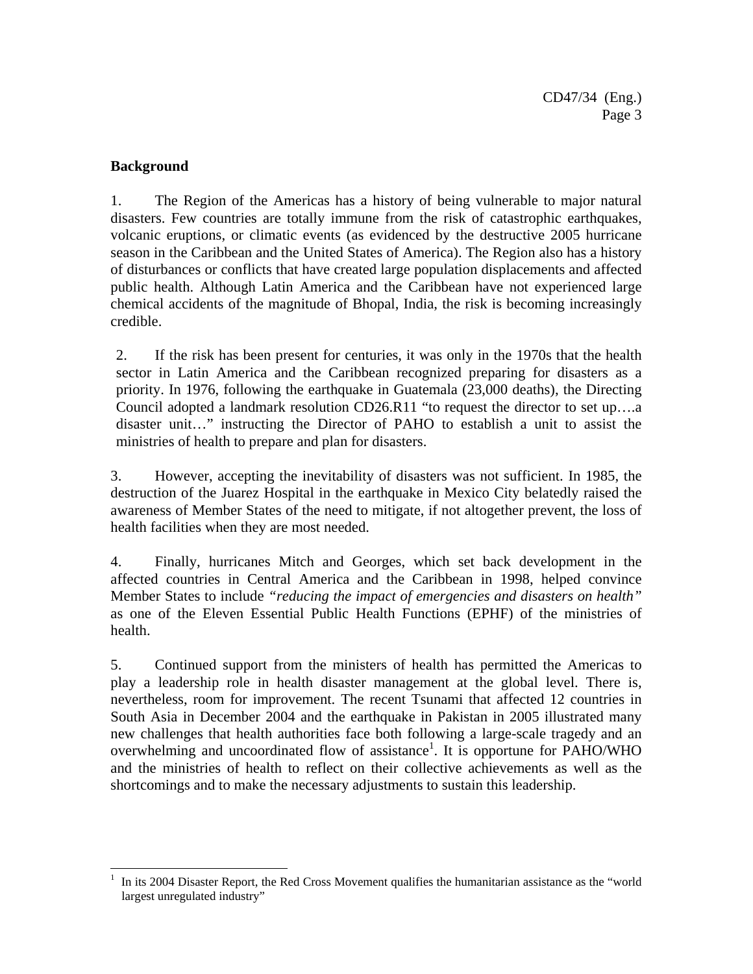#### **Background**

 $\overline{\phantom{a}}$ 

1. The Region of the Americas has a history of being vulnerable to major natural disasters. Few countries are totally immune from the risk of catastrophic earthquakes, volcanic eruptions, or climatic events (as evidenced by the destructive 2005 hurricane season in the Caribbean and the United States of America). The Region also has a history of disturbances or conflicts that have created large population displacements and affected public health. Although Latin America and the Caribbean have not experienced large chemical accidents of the magnitude of Bhopal, India, the risk is becoming increasingly credible.

2. If the risk has been present for centuries, it was only in the 1970s that the health sector in Latin America and the Caribbean recognized preparing for disasters as a priority. In 1976, following the earthquake in Guatemala (23,000 deaths), the Directing Council adopted a landmark resolution CD26.R11 "to request the director to set up….a disaster unit…" instructing the Director of PAHO to establish a unit to assist the ministries of health to prepare and plan for disasters.

3. However, accepting the inevitability of disasters was not sufficient. In 1985, the destruction of the Juarez Hospital in the earthquake in Mexico City belatedly raised the awareness of Member States of the need to mitigate, if not altogether prevent, the loss of health facilities when they are most needed.

4. Finally, hurricanes Mitch and Georges, which set back development in the affected countries in Central America and the Caribbean in 1998, helped convince Member States to include *"reducing the impact of emergencies and disasters on health"* as one of the Eleven Essential Public Health Functions (EPHF) of the ministries of health.

5. Continued support from the ministers of health has permitted the Americas to play a leadership role in health disaster management at the global level. There is, nevertheless, room for improvement. The recent Tsunami that affected 12 countries in South Asia in December 2004 and the earthquake in Pakistan in 2005 illustrated many new challenges that health authorities face both following a large-scale tragedy and an overwhelming and uncoordinated flow of assistance<sup>1</sup>. It is opportune for PAHO/WHO and the ministries of health to reflect on their collective achievements as well as the shortcomings and to make the necessary adjustments to sustain this leadership.

<sup>1</sup> In its 2004 Disaster Report, the Red Cross Movement qualifies the humanitarian assistance as the "world largest unregulated industry"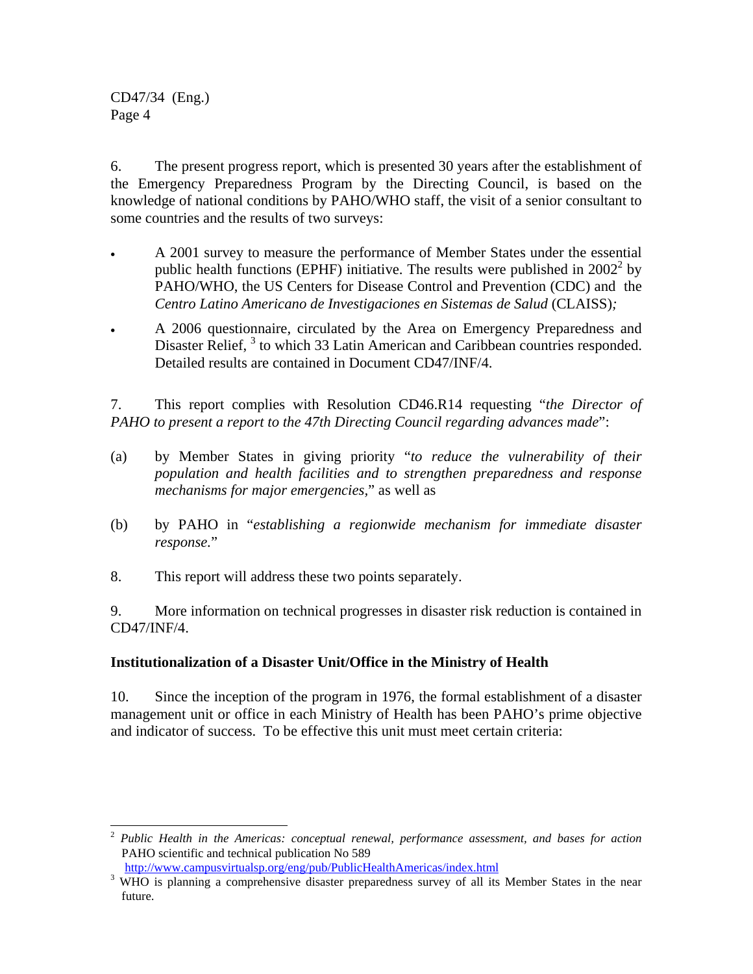$\overline{\phantom{a}}$ 

6. The present progress report, which is presented 30 years after the establishment of the Emergency Preparedness Program by the Directing Council, is based on the knowledge of national conditions by PAHO/WHO staff, the visit of a senior consultant to some countries and the results of two surveys:

- A 2001 survey to measure the performance of Member States under the essential public health functions (EPHF) initiative. The results were published in  $2002^2$  by PAHO/WHO, the US Centers for Disease Control and Prevention (CDC) and the *Centro Latino Americano de Investigaciones en Sistemas de Salud* (CLAISS)*;*
- A 2006 questionnaire, circulated by the Area on Emergency Preparedness and Disaster Relief, <sup>3</sup> to which 33 Latin American and Caribbean countries responded. Detailed results are contained in Document CD47/INF/4.

7. This report complies with Resolution CD46.R14 requesting "*the Director of PAHO to present a report to the 47th Directing Council regarding advances made*":

- (a) by Member States in giving priority "*to reduce the vulnerability of their population and health facilities and to strengthen preparedness and response mechanisms for major emergencies,*" as well as
- (b) by PAHO in "*establishing a regionwide mechanism for immediate disaster response.*"
- 8. This report will address these two points separately.

9. More information on technical progresses in disaster risk reduction is contained in CD47/INF/4.

## **Institutionalization of a Disaster Unit/Office in the Ministry of Health**

10. Since the inception of the program in 1976, the formal establishment of a disaster management unit or office in each Ministry of Health has been PAHO's prime objective and indicator of success. To be effective this unit must meet certain criteria:

<sup>2</sup> *Public Health in the Americas: conceptual renewal, performance assessment, and bases for action*  PAHO scientific and technical publication No 589

http://www.campusvirtualsp.org/eng/pub/PublicHealthAmericas/index.html

<sup>&</sup>lt;sup>3</sup> WHO is planning a comprehensive disaster preparedness survey of all its Member States in the near future.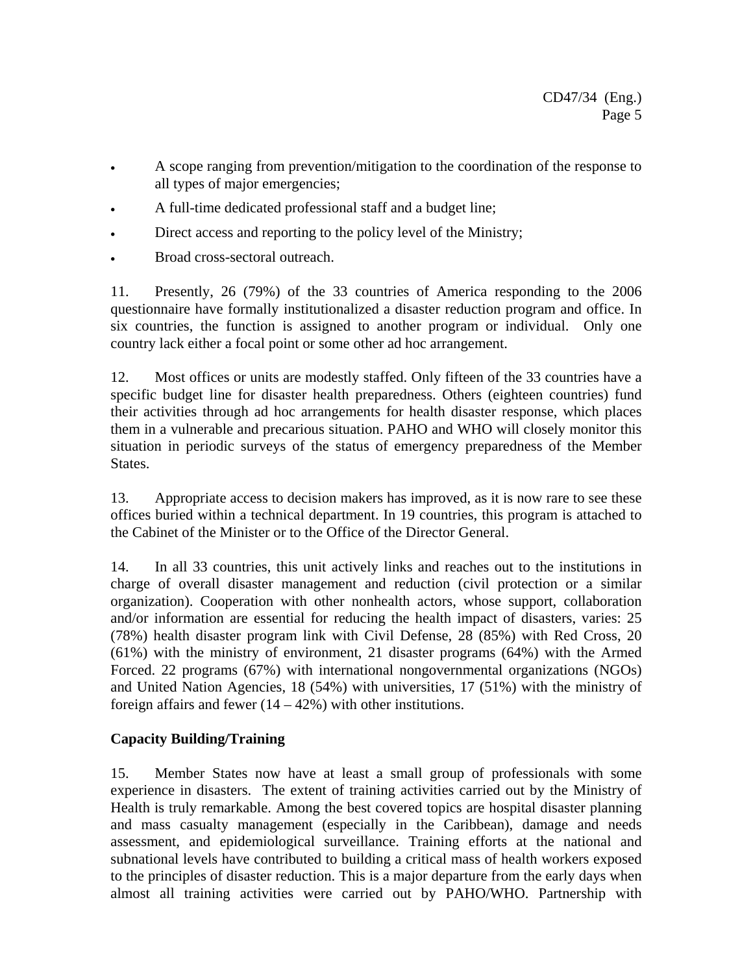- A scope ranging from prevention/mitigation to the coordination of the response to all types of major emergencies;
- A full-time dedicated professional staff and a budget line;
- Direct access and reporting to the policy level of the Ministry;
- Broad cross-sectoral outreach.

11. Presently, 26 (79%) of the 33 countries of America responding to the 2006 questionnaire have formally institutionalized a disaster reduction program and office. In six countries, the function is assigned to another program or individual. Only one country lack either a focal point or some other ad hoc arrangement.

12. Most offices or units are modestly staffed. Only fifteen of the 33 countries have a specific budget line for disaster health preparedness. Others (eighteen countries) fund their activities through ad hoc arrangements for health disaster response, which places them in a vulnerable and precarious situation. PAHO and WHO will closely monitor this situation in periodic surveys of the status of emergency preparedness of the Member States.

13. Appropriate access to decision makers has improved, as it is now rare to see these offices buried within a technical department. In 19 countries, this program is attached to the Cabinet of the Minister or to the Office of the Director General.

14. In all 33 countries, this unit actively links and reaches out to the institutions in charge of overall disaster management and reduction (civil protection or a similar organization). Cooperation with other nonhealth actors, whose support, collaboration and/or information are essential for reducing the health impact of disasters, varies: 25 (78%) health disaster program link with Civil Defense, 28 (85%) with Red Cross, 20 (61%) with the ministry of environment, 21 disaster programs (64%) with the Armed Forced. 22 programs (67%) with international nongovernmental organizations (NGOs) and United Nation Agencies, 18 (54%) with universities, 17 (51%) with the ministry of foreign affairs and fewer  $(14 – 42%)$  with other institutions.

#### **Capacity Building/Training**

15. Member States now have at least a small group of professionals with some experience in disasters. The extent of training activities carried out by the Ministry of Health is truly remarkable. Among the best covered topics are hospital disaster planning and mass casualty management (especially in the Caribbean), damage and needs assessment, and epidemiological surveillance. Training efforts at the national and subnational levels have contributed to building a critical mass of health workers exposed to the principles of disaster reduction. This is a major departure from the early days when almost all training activities were carried out by PAHO/WHO. Partnership with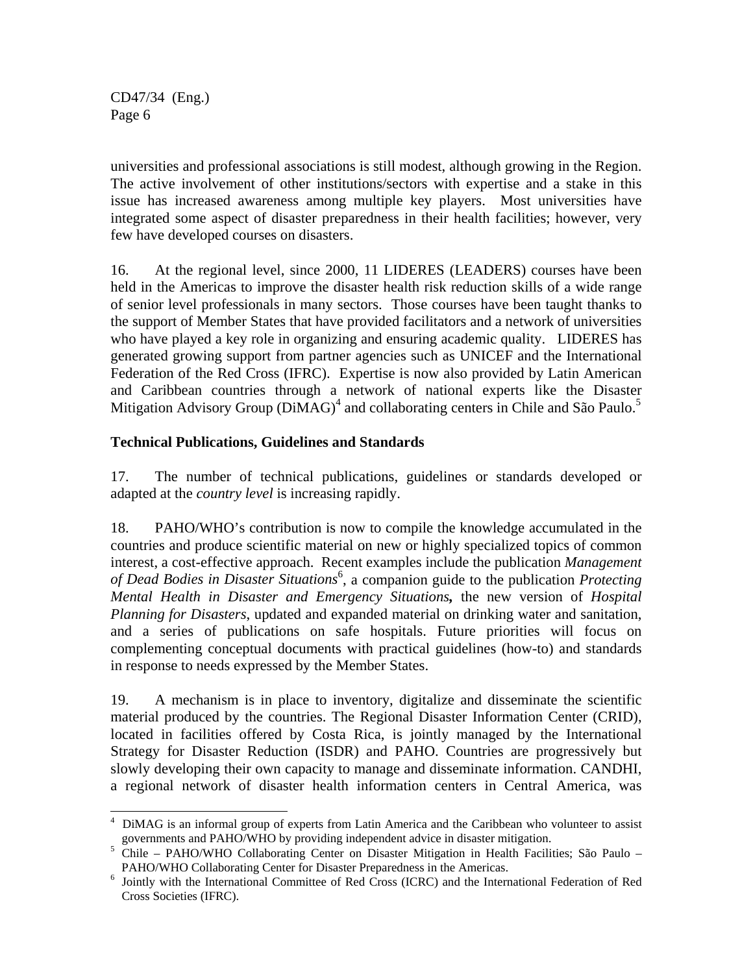universities and professional associations is still modest, although growing in the Region. The active involvement of other institutions/sectors with expertise and a stake in this issue has increased awareness among multiple key players. Most universities have integrated some aspect of disaster preparedness in their health facilities; however, very few have developed courses on disasters.

16. At the regional level, since 2000, 11 LIDERES (LEADERS) courses have been held in the Americas to improve the disaster health risk reduction skills of a wide range of senior level professionals in many sectors. Those courses have been taught thanks to the support of Member States that have provided facilitators and a network of universities who have played a key role in organizing and ensuring academic quality. LIDERES has generated growing support from partner agencies such as UNICEF and the International Federation of the Red Cross (IFRC). Expertise is now also provided by Latin American and Caribbean countries through a network of national experts like the Disaster Mitigation Advisory Group (DiMAG)<sup>4</sup> and collaborating centers in Chile and São Paulo.<sup>5</sup>

#### **Technical Publications, Guidelines and Standards**

17. The number of technical publications, guidelines or standards developed or adapted at the *country level* is increasing rapidly.

18. PAHO/WHO's contribution is now to compile the knowledge accumulated in the countries and produce scientific material on new or highly specialized topics of common interest, a cost-effective approach. Recent examples include the publication *Management*  of Dead Bodies in Disaster Situations<sup>6</sup>, a companion guide to the publication *Protecting Mental Health in Disaster and Emergency Situations,* the new version of *Hospital Planning for Disasters*, updated and expanded material on drinking water and sanitation, and a series of publications on safe hospitals. Future priorities will focus on complementing conceptual documents with practical guidelines (how-to) and standards in response to needs expressed by the Member States.

19. A mechanism is in place to inventory, digitalize and disseminate the scientific material produced by the countries. The Regional Disaster Information Center (CRID), located in facilities offered by Costa Rica, is jointly managed by the International Strategy for Disaster Reduction (ISDR) and PAHO. Countries are progressively but slowly developing their own capacity to manage and disseminate information. CANDHI, a regional network of disaster health information centers in Central America, was

 $\overline{\phantom{a}}$ <sup>4</sup> DiMAG is an informal group of experts from Latin America and the Caribbean who volunteer to assist

governments and PAHO/WHO by providing independent advice in disaster mitigation. 5 Chile – PAHO/WHO Collaborating Center on Disaster Mitigation in Health Facilities; São Paulo – PAHO/WHO Collaborating Center for Disaster Preparedness in the Americas.

<sup>&</sup>lt;sup>6</sup> Jointly with the International Committee of Red Cross (ICRC) and the International Federation of Red Cross Societies (IFRC).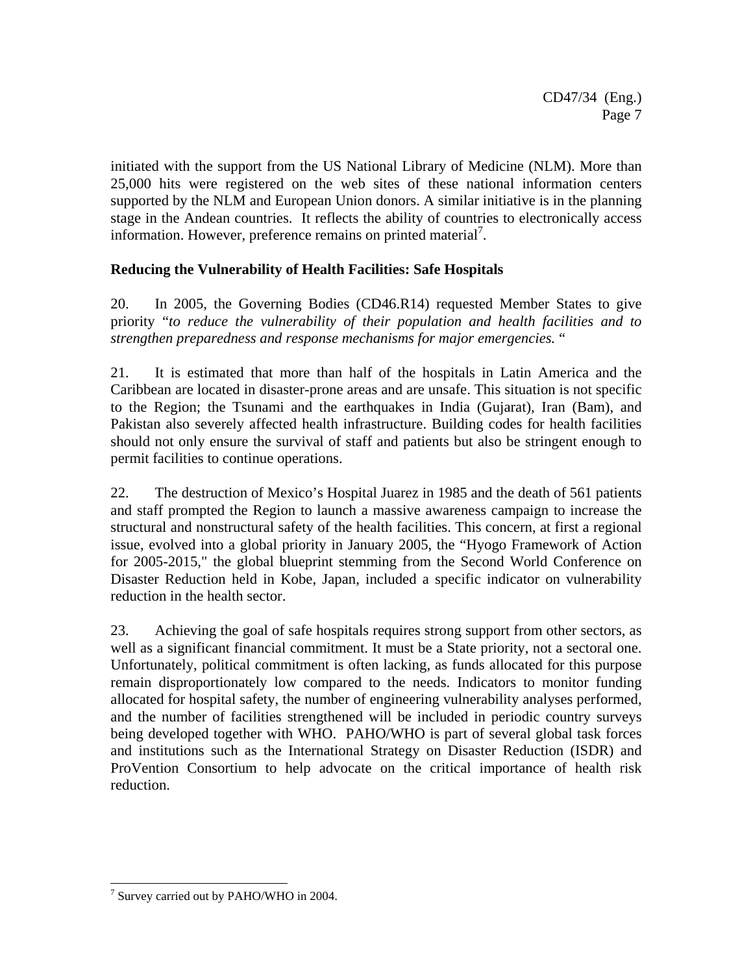initiated with the support from the US National Library of Medicine (NLM). More than 25,000 hits were registered on the web sites of these national information centers supported by the NLM and European Union donors. A similar initiative is in the planning stage in the Andean countries. It reflects the ability of countries to electronically access information. However, preference remains on printed material<sup>7</sup>.

## **Reducing the Vulnerability of Health Facilities: Safe Hospitals**

20. In 2005, the Governing Bodies (CD46.R14) requested Member States to give priority "*to reduce the vulnerability of their population and health facilities and to strengthen preparedness and response mechanisms for major emergencies.* "

21. It is estimated that more than half of the hospitals in Latin America and the Caribbean are located in disaster-prone areas and are unsafe. This situation is not specific to the Region; the Tsunami and the earthquakes in India (Gujarat), Iran (Bam), and Pakistan also severely affected health infrastructure. Building codes for health facilities should not only ensure the survival of staff and patients but also be stringent enough to permit facilities to continue operations.

22. The destruction of Mexico's Hospital Juarez in 1985 and the death of 561 patients and staff prompted the Region to launch a massive awareness campaign to increase the structural and nonstructural safety of the health facilities. This concern, at first a regional issue, evolved into a global priority in January 2005, the "Hyogo Framework of Action for 2005-2015," the global blueprint stemming from the Second World Conference on Disaster Reduction held in Kobe, Japan, included a specific indicator on vulnerability reduction in the health sector.

23. Achieving the goal of safe hospitals requires strong support from other sectors, as well as a significant financial commitment. It must be a State priority, not a sectoral one. Unfortunately, political commitment is often lacking, as funds allocated for this purpose remain disproportionately low compared to the needs. Indicators to monitor funding allocated for hospital safety, the number of engineering vulnerability analyses performed, and the number of facilities strengthened will be included in periodic country surveys being developed together with WHO. PAHO/WHO is part of several global task forces and institutions such as the International Strategy on Disaster Reduction (ISDR) and ProVention Consortium to help advocate on the critical importance of health risk reduction.

 $\overline{\phantom{a}}$ <sup>7</sup> Survey carried out by PAHO/WHO in 2004.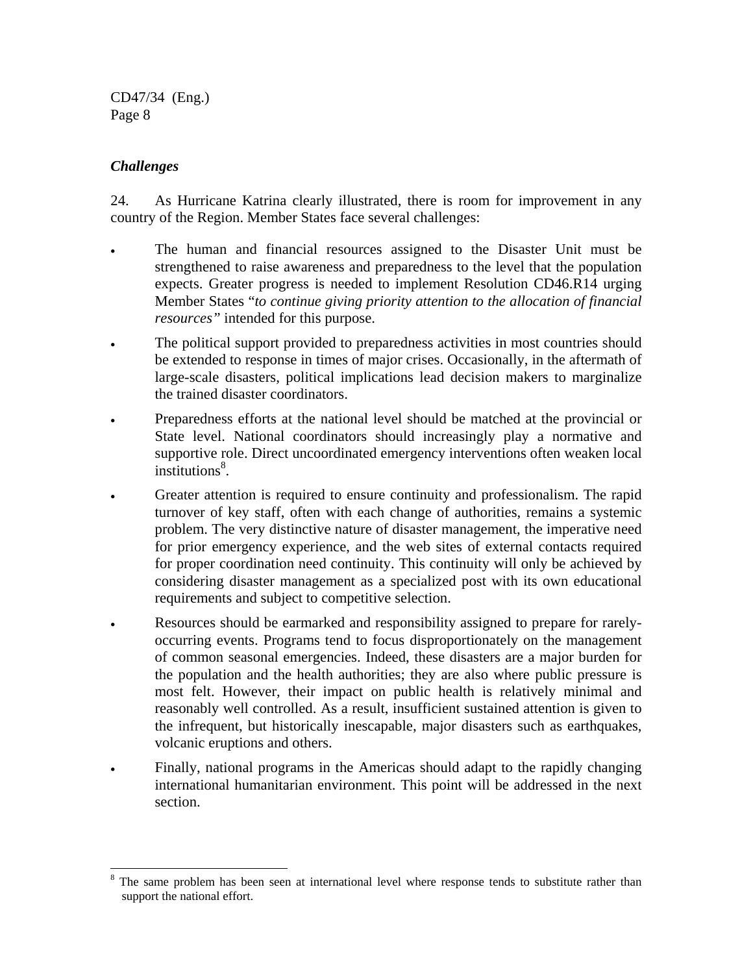#### *Challenges*

 $\overline{\phantom{a}}$ 

24. As Hurricane Katrina clearly illustrated, there is room for improvement in any country of the Region. Member States face several challenges:

- The human and financial resources assigned to the Disaster Unit must be strengthened to raise awareness and preparedness to the level that the population expects. Greater progress is needed to implement Resolution CD46.R14 urging Member States "*to continue giving priority attention to the allocation of financial resources"* intended for this purpose.
- The political support provided to preparedness activities in most countries should be extended to response in times of major crises. Occasionally, in the aftermath of large-scale disasters, political implications lead decision makers to marginalize the trained disaster coordinators.
- Preparedness efforts at the national level should be matched at the provincial or State level. National coordinators should increasingly play a normative and supportive role. Direct uncoordinated emergency interventions often weaken local institutions<sup>8</sup>.
- Greater attention is required to ensure continuity and professionalism. The rapid turnover of key staff, often with each change of authorities, remains a systemic problem. The very distinctive nature of disaster management, the imperative need for prior emergency experience, and the web sites of external contacts required for proper coordination need continuity. This continuity will only be achieved by considering disaster management as a specialized post with its own educational requirements and subject to competitive selection.
- Resources should be earmarked and responsibility assigned to prepare for rarelyoccurring events. Programs tend to focus disproportionately on the management of common seasonal emergencies. Indeed, these disasters are a major burden for the population and the health authorities; they are also where public pressure is most felt. However, their impact on public health is relatively minimal and reasonably well controlled. As a result, insufficient sustained attention is given to the infrequent, but historically inescapable, major disasters such as earthquakes, volcanic eruptions and others.
- Finally, national programs in the Americas should adapt to the rapidly changing international humanitarian environment. This point will be addressed in the next section.

<sup>8</sup> The same problem has been seen at international level where response tends to substitute rather than support the national effort.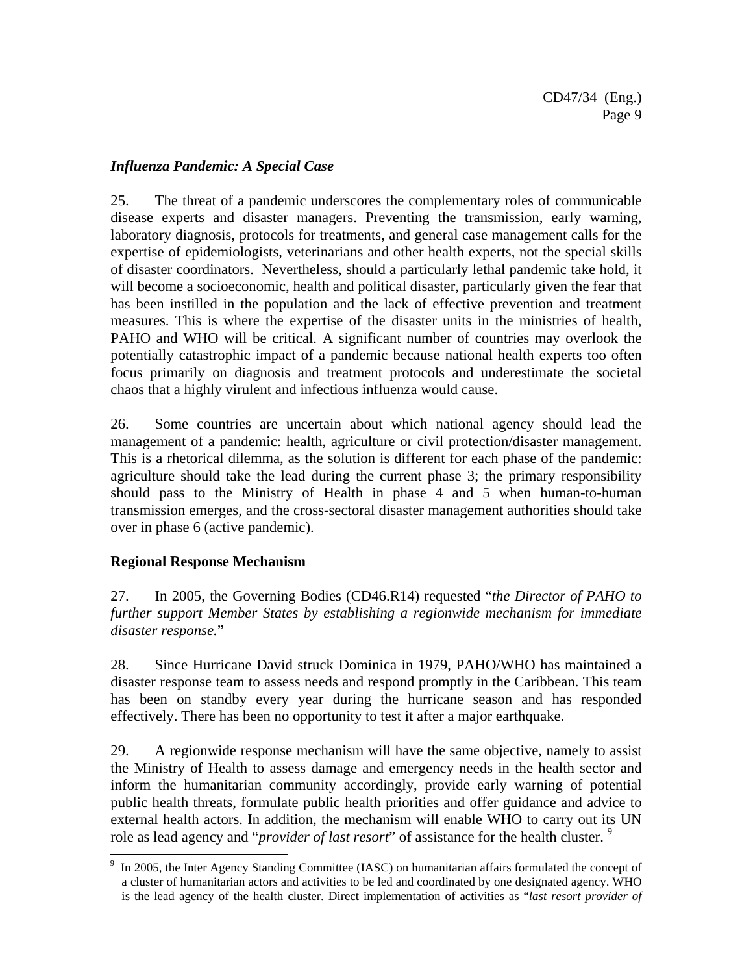#### *Influenza Pandemic: A Special Case*

25. The threat of a pandemic underscores the complementary roles of communicable disease experts and disaster managers. Preventing the transmission, early warning, laboratory diagnosis, protocols for treatments, and general case management calls for the expertise of epidemiologists, veterinarians and other health experts, not the special skills of disaster coordinators. Nevertheless, should a particularly lethal pandemic take hold, it will become a socioeconomic, health and political disaster, particularly given the fear that has been instilled in the population and the lack of effective prevention and treatment measures. This is where the expertise of the disaster units in the ministries of health, PAHO and WHO will be critical. A significant number of countries may overlook the potentially catastrophic impact of a pandemic because national health experts too often focus primarily on diagnosis and treatment protocols and underestimate the societal chaos that a highly virulent and infectious influenza would cause.

26. Some countries are uncertain about which national agency should lead the management of a pandemic: health, agriculture or civil protection/disaster management. This is a rhetorical dilemma, as the solution is different for each phase of the pandemic: agriculture should take the lead during the current phase 3; the primary responsibility should pass to the Ministry of Health in phase 4 and 5 when human-to-human transmission emerges, and the cross-sectoral disaster management authorities should take over in phase 6 (active pandemic).

#### **Regional Response Mechanism**

 $\overline{a}$ 

27. In 2005, the Governing Bodies (CD46.R14) requested "*the Director of PAHO to further support Member States by establishing a regionwide mechanism for immediate disaster response.*"

28. Since Hurricane David struck Dominica in 1979, PAHO/WHO has maintained a disaster response team to assess needs and respond promptly in the Caribbean. This team has been on standby every year during the hurricane season and has responded effectively. There has been no opportunity to test it after a major earthquake.

29. A regionwide response mechanism will have the same objective, namely to assist the Ministry of Health to assess damage and emergency needs in the health sector and inform the humanitarian community accordingly, provide early warning of potential public health threats, formulate public health priorities and offer guidance and advice to external health actors. In addition, the mechanism will enable WHO to carry out its UN role as lead agency and "*provider of last resort*" of assistance for the health cluster. 9

<sup>&</sup>lt;sup>9</sup> In 2005, the Inter Agency Standing Committee (IASC) on humanitarian affairs formulated the concept of a cluster of humanitarian actors and activities to be led and coordinated by one designated agency. WHO is the lead agency of the health cluster. Direct implementation of activities as "*last resort provider of*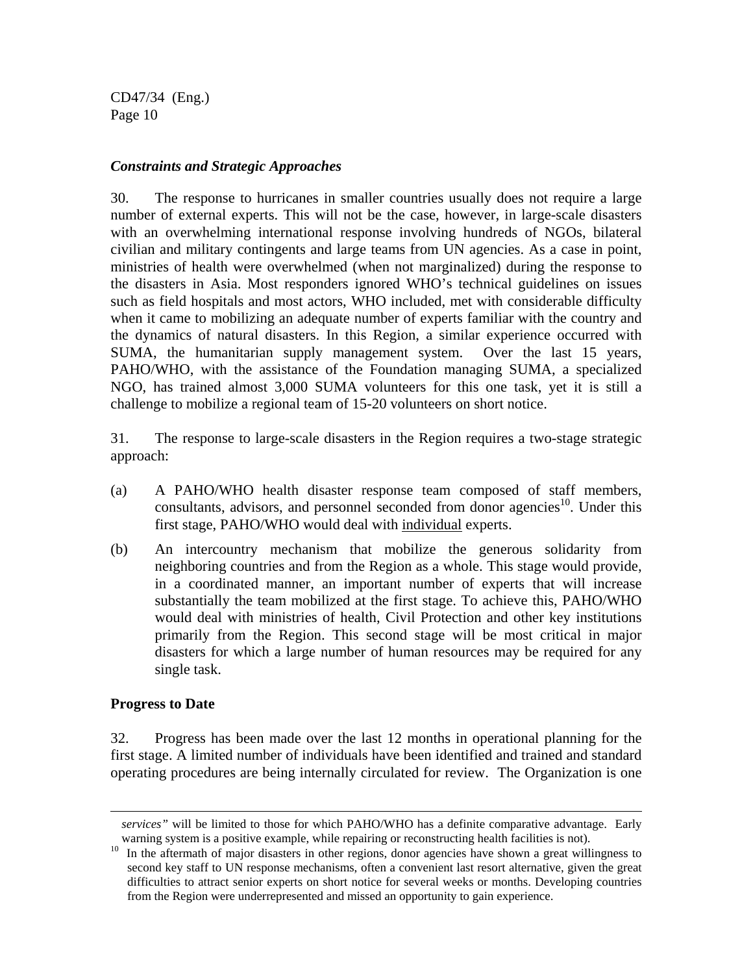#### *Constraints and Strategic Approaches*

30. The response to hurricanes in smaller countries usually does not require a large number of external experts. This will not be the case, however, in large-scale disasters with an overwhelming international response involving hundreds of NGOs, bilateral civilian and military contingents and large teams from UN agencies. As a case in point, ministries of health were overwhelmed (when not marginalized) during the response to the disasters in Asia. Most responders ignored WHO's technical guidelines on issues such as field hospitals and most actors, WHO included, met with considerable difficulty when it came to mobilizing an adequate number of experts familiar with the country and the dynamics of natural disasters. In this Region, a similar experience occurred with SUMA, the humanitarian supply management system. Over the last 15 years, PAHO/WHO, with the assistance of the Foundation managing SUMA, a specialized NGO, has trained almost 3,000 SUMA volunteers for this one task, yet it is still a challenge to mobilize a regional team of 15-20 volunteers on short notice.

31. The response to large-scale disasters in the Region requires a two-stage strategic approach:

- (a) A PAHO/WHO health disaster response team composed of staff members, consultants, advisors, and personnel seconded from donor agencies<sup>10</sup>. Under this first stage, PAHO/WHO would deal with individual experts.
- (b) An intercountry mechanism that mobilize the generous solidarity from neighboring countries and from the Region as a whole. This stage would provide, in a coordinated manner, an important number of experts that will increase substantially the team mobilized at the first stage. To achieve this, PAHO/WHO would deal with ministries of health, Civil Protection and other key institutions primarily from the Region. This second stage will be most critical in major disasters for which a large number of human resources may be required for any single task.

#### **Progress to Date**

 $\overline{\phantom{a}}$ 

32. Progress has been made over the last 12 months in operational planning for the first stage. A limited number of individuals have been identified and trained and standard operating procedures are being internally circulated for review. The Organization is one

*services"* will be limited to those for which PAHO/WHO has a definite comparative advantage. Early

warning system is a positive example, while repairing or reconstructing health facilities is not).<br><sup>10</sup> In the aftermath of major disasters in other regions, donor agencies have shown a great willingness to second key staff to UN response mechanisms, often a convenient last resort alternative, given the great difficulties to attract senior experts on short notice for several weeks or months. Developing countries from the Region were underrepresented and missed an opportunity to gain experience.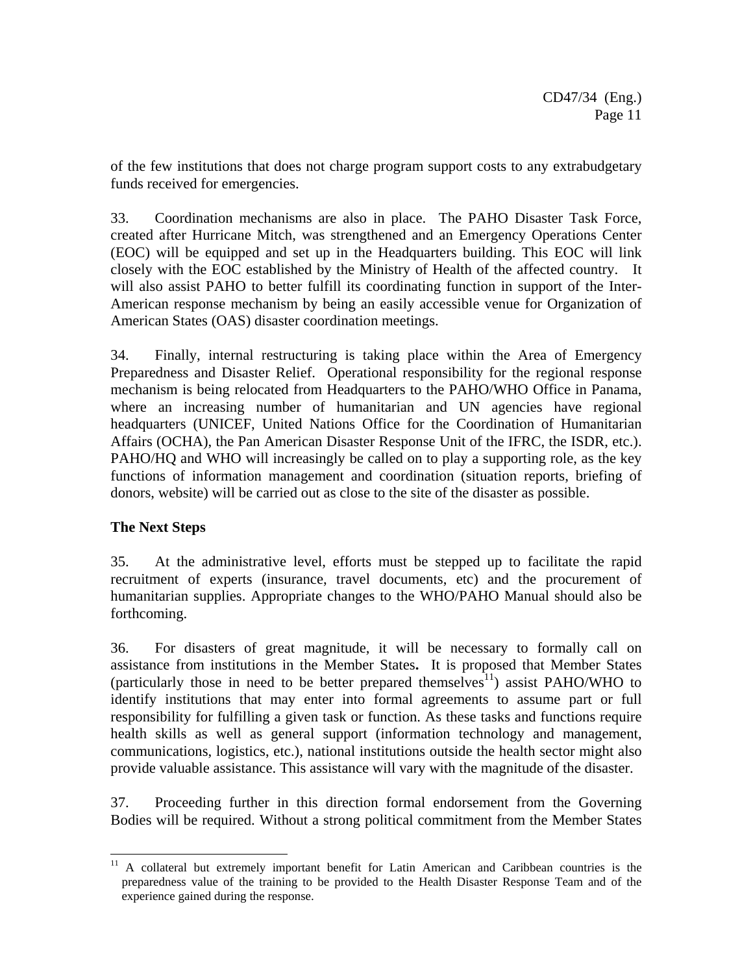of the few institutions that does not charge program support costs to any extrabudgetary funds received for emergencies.

33. Coordination mechanisms are also in place. The PAHO Disaster Task Force, created after Hurricane Mitch, was strengthened and an Emergency Operations Center (EOC) will be equipped and set up in the Headquarters building. This EOC will link closely with the EOC established by the Ministry of Health of the affected country. It will also assist PAHO to better fulfill its coordinating function in support of the Inter-American response mechanism by being an easily accessible venue for Organization of American States (OAS) disaster coordination meetings.

34. Finally, internal restructuring is taking place within the Area of Emergency Preparedness and Disaster Relief. Operational responsibility for the regional response mechanism is being relocated from Headquarters to the PAHO/WHO Office in Panama, where an increasing number of humanitarian and UN agencies have regional headquarters (UNICEF, United Nations Office for the Coordination of Humanitarian Affairs (OCHA), the Pan American Disaster Response Unit of the IFRC, the ISDR, etc.). PAHO/HQ and WHO will increasingly be called on to play a supporting role, as the key functions of information management and coordination (situation reports, briefing of donors, website) will be carried out as close to the site of the disaster as possible.

#### **The Next Steps**

 $\overline{a}$ 

35. At the administrative level, efforts must be stepped up to facilitate the rapid recruitment of experts (insurance, travel documents, etc) and the procurement of humanitarian supplies. Appropriate changes to the WHO/PAHO Manual should also be forthcoming.

36. For disasters of great magnitude, it will be necessary to formally call on assistance from institutions in the Member States**.** It is proposed that Member States (particularly those in need to be better prepared themselves<sup>11</sup>) assist PAHO/WHO to identify institutions that may enter into formal agreements to assume part or full responsibility for fulfilling a given task or function. As these tasks and functions require health skills as well as general support (information technology and management, communications, logistics, etc.), national institutions outside the health sector might also provide valuable assistance. This assistance will vary with the magnitude of the disaster.

37. Proceeding further in this direction formal endorsement from the Governing Bodies will be required. Without a strong political commitment from the Member States

<sup>&</sup>lt;sup>11</sup> A collateral but extremely important benefit for Latin American and Caribbean countries is the preparedness value of the training to be provided to the Health Disaster Response Team and of the experience gained during the response.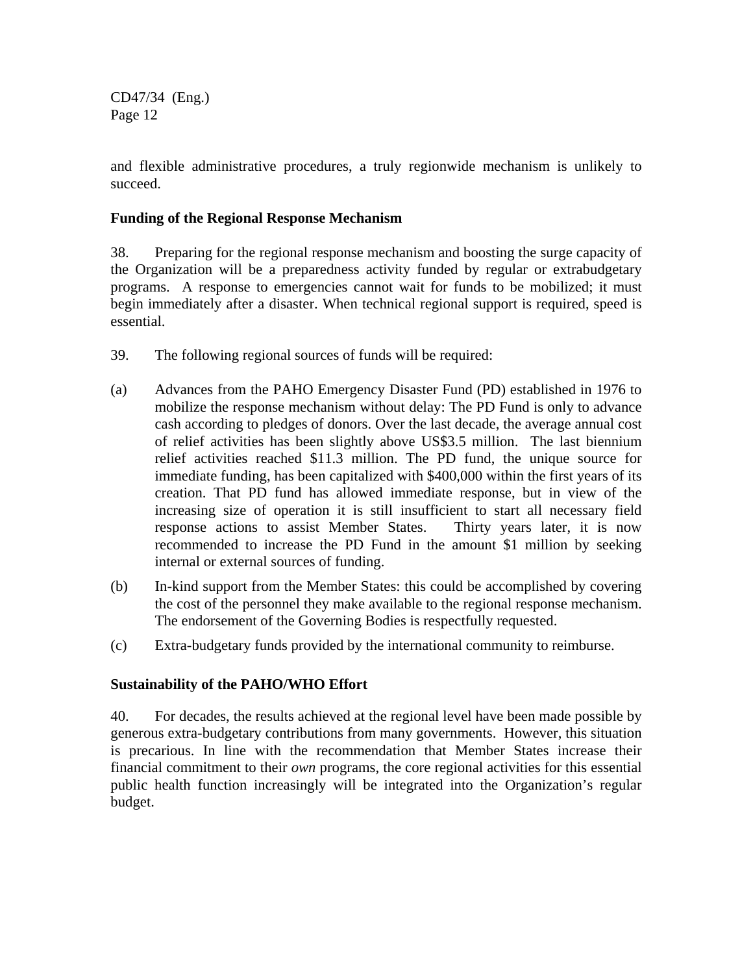and flexible administrative procedures, a truly regionwide mechanism is unlikely to succeed.

#### **Funding of the Regional Response Mechanism**

38. Preparing for the regional response mechanism and boosting the surge capacity of the Organization will be a preparedness activity funded by regular or extrabudgetary programs. A response to emergencies cannot wait for funds to be mobilized; it must begin immediately after a disaster. When technical regional support is required, speed is essential.

- 39. The following regional sources of funds will be required:
- (a) Advances from the PAHO Emergency Disaster Fund (PD) established in 1976 to mobilize the response mechanism without delay: The PD Fund is only to advance cash according to pledges of donors. Over the last decade, the average annual cost of relief activities has been slightly above US\$3.5 million. The last biennium relief activities reached \$11.3 million. The PD fund, the unique source for immediate funding, has been capitalized with \$400,000 within the first years of its creation. That PD fund has allowed immediate response, but in view of the increasing size of operation it is still insufficient to start all necessary field response actions to assist Member States. Thirty years later, it is now recommended to increase the PD Fund in the amount \$1 million by seeking internal or external sources of funding.
- (b) In-kind support from the Member States: this could be accomplished by covering the cost of the personnel they make available to the regional response mechanism. The endorsement of the Governing Bodies is respectfully requested.
- (c) Extra-budgetary funds provided by the international community to reimburse.

#### **Sustainability of the PAHO/WHO Effort**

40. For decades, the results achieved at the regional level have been made possible by generous extra-budgetary contributions from many governments. However, this situation is precarious. In line with the recommendation that Member States increase their financial commitment to their *own* programs, the core regional activities for this essential public health function increasingly will be integrated into the Organization's regular budget.